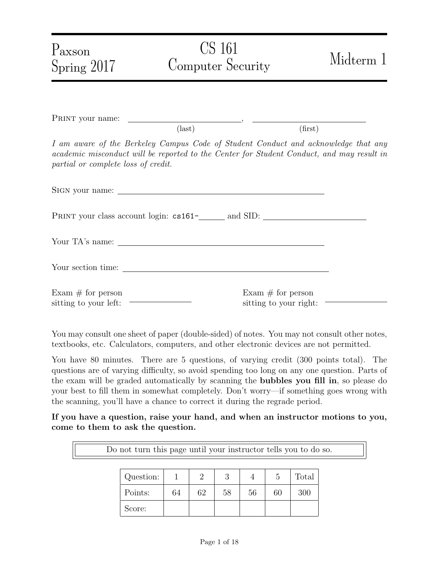| Paxson<br>Spring 2017                                              | CS 161<br>Computer Security                                                                                                                                                     | Midterm 1                                     |
|--------------------------------------------------------------------|---------------------------------------------------------------------------------------------------------------------------------------------------------------------------------|-----------------------------------------------|
|                                                                    |                                                                                                                                                                                 |                                               |
|                                                                    | $\text{(last)}$                                                                                                                                                                 | (first)                                       |
| partial or complete loss of credit.                                | I am aware of the Berkeley Campus Code of Student Conduct and acknowledge that any<br>academic misconduct will be reported to the Center for Student Conduct, and may result in |                                               |
|                                                                    |                                                                                                                                                                                 |                                               |
|                                                                    |                                                                                                                                                                                 |                                               |
|                                                                    |                                                                                                                                                                                 |                                               |
|                                                                    |                                                                                                                                                                                 |                                               |
| Exam $\#$ for person<br>sitting to your left: ———————————————————— |                                                                                                                                                                                 | Exam $#$ for person<br>sitting to your right: |

You may consult one sheet of paper (double-sided) of notes. You may not consult other notes, textbooks, etc. Calculators, computers, and other electronic devices are not permitted.

You have 80 minutes. There are 5 questions, of varying credit (300 points total). The questions are of varying difficulty, so avoid spending too long on any one question. Parts of the exam will be graded automatically by scanning the bubbles you fill in, so please do your best to fill them in somewhat completely. Don't worry—if something goes wrong with the scanning, you'll have a chance to correct it during the regrade period.

If you have a question, raise your hand, and when an instructor motions to you, come to them to ask the question.

Do not turn this page until your instructor tells you to do so.

| Question: |    |    | റ  |    |    | Total |
|-----------|----|----|----|----|----|-------|
| Points:   | 64 | 62 | 58 | 56 | 60 | 300   |
| Score:    |    |    |    |    |    |       |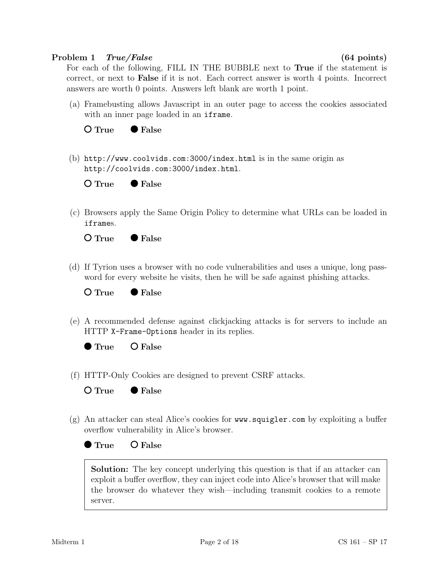#### Problem 1 True/False (64 points)

For each of the following, FILL IN THE BUBBLE next to True if the statement is correct, or next to False if it is not. Each correct answer is worth 4 points. Incorrect answers are worth 0 points. Answers left blank are worth 1 point.

(a) Framebusting allows Javascript in an outer page to access the cookies associated with an inner page loaded in an iframe.



(b) http://www.coolvids.com:3000/index.html is in the same origin as http://coolvids.com:3000/index.html.



(c) Browsers apply the Same Origin Policy to determine what URLs can be loaded in iframes.



(d) If Tyrion uses a browser with no code vulnerabilities and uses a unique, long password for every website he visits, then he will be safe against phishing attacks.

O True • False

(e) A recommended defense against clickjacking attacks is for servers to include an HTTP X-Frame-Options header in its replies.

(f) HTTP-Only Cookies are designed to prevent CSRF attacks.

 $O$  True  $\bullet$  False

 $O$  False

(g) An attacker can steal Alice's cookies for www.squigler.com by exploiting a buffer overflow vulnerability in Alice's browser.



Solution: The key concept underlying this question is that if an attacker can exploit a buffer overflow, they can inject code into Alice's browser that will make the browser do whatever they wish—including transmit cookies to a remote server.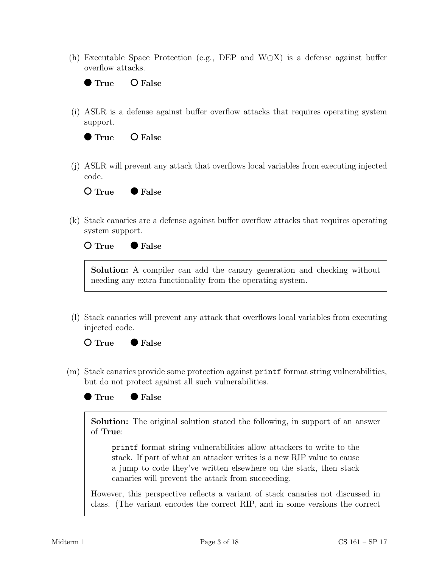(h) Executable Space Protection (e.g., DEP and W⊕X) is a defense against buffer overflow attacks.



(i) ASLR is a defense against buffer overflow attacks that requires operating system support.



(j) ASLR will prevent any attack that overflows local variables from executing injected code.

 $O$  True  $\bullet$  False

(k) Stack canaries are a defense against buffer overflow attacks that requires operating system support.

#### $O$  True  $\bullet$  False

Solution: A compiler can add the canary generation and checking without needing any extra functionality from the operating system.

(l) Stack canaries will prevent any attack that overflows local variables from executing injected code.

 $O$  True  $\bullet$  False

- (m) Stack canaries provide some protection against printf format string vulnerabilities, but do not protect against all such vulnerabilities.
	- True **False**

Solution: The original solution stated the following, in support of an answer of True:

printf format string vulnerabilities allow attackers to write to the stack. If part of what an attacker writes is a new RIP value to cause a jump to code they've written elsewhere on the stack, then stack canaries will prevent the attack from succeeding.

However, this perspective reflects a variant of stack canaries not discussed in class. (The variant encodes the correct RIP, and in some versions the correct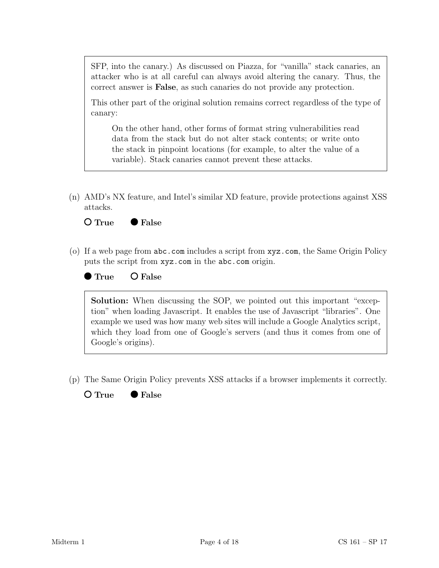SFP, into the canary.) As discussed on Piazza, for "vanilla" stack canaries, an attacker who is at all careful can always avoid altering the canary. Thus, the correct answer is False, as such canaries do not provide any protection.

This other part of the original solution remains correct regardless of the type of canary:

On the other hand, other forms of format string vulnerabilities read data from the stack but do not alter stack contents; or write onto the stack in pinpoint locations (for example, to alter the value of a variable). Stack canaries cannot prevent these attacks.

(n) AMD's NX feature, and Intel's similar XD feature, provide protections against XSS attacks.



(o) If a web page from abc.com includes a script from xyz.com, the Same Origin Policy puts the script from xyz.com in the abc.com origin.



True O False

Solution: When discussing the SOP, we pointed out this important "exception" when loading Javascript. It enables the use of Javascript "libraries". One example we used was how many web sites will include a Google Analytics script, which they load from one of Google's servers (and thus it comes from one of Google's origins).

(p) The Same Origin Policy prevents XSS attacks if a browser implements it correctly.

O True ● False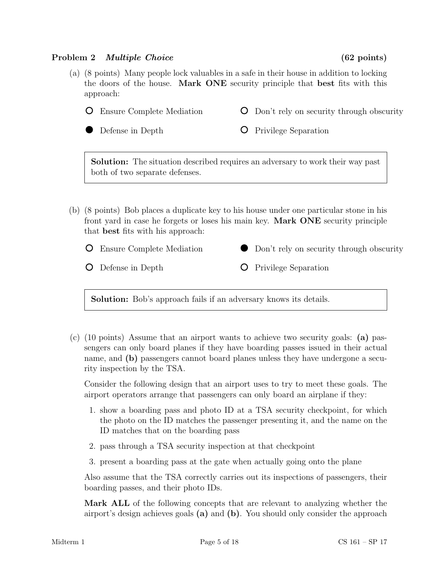### Problem 2 *Multiple Choice* (62 points)

both of two separate defenses.

- (a) (8 points) Many people lock valuables in a safe in their house in addition to locking the doors of the house. Mark ONE security principle that best fits with this approach:
	- Ensure Complete Mediation Defense in Depth Don't rely on security through obscurity **O** Privilege Separation Solution: The situation described requires an adversary to work their way past
- (b) (8 points) Bob places a duplicate key to his house under one particular stone in his front yard in case he forgets or loses his main key. Mark ONE security principle that best fits with his approach:
	- Ensure Complete Mediation Don't rely on security through obscurity  $\bullet$ Defense in Depth **O** Privilege Separation

Solution: Bob's approach fails if an adversary knows its details.

(c) (10 points) Assume that an airport wants to achieve two security goals: (a) passengers can only board planes if they have boarding passes issued in their actual name, and (b) passengers cannot board planes unless they have undergone a security inspection by the TSA.

Consider the following design that an airport uses to try to meet these goals. The airport operators arrange that passengers can only board an airplane if they:

- 1. show a boarding pass and photo ID at a TSA security checkpoint, for which the photo on the ID matches the passenger presenting it, and the name on the ID matches that on the boarding pass
- 2. pass through a TSA security inspection at that checkpoint
- 3. present a boarding pass at the gate when actually going onto the plane

Also assume that the TSA correctly carries out its inspections of passengers, their boarding passes, and their photo IDs.

Mark ALL of the following concepts that are relevant to analyzing whether the airport's design achieves goals (a) and (b). You should only consider the approach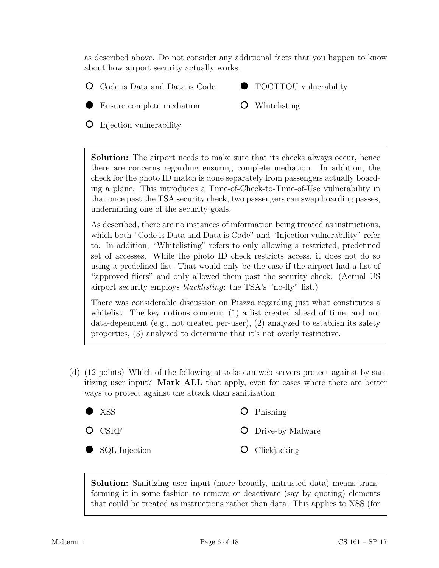as described above. Do not consider any additional facts that you happen to know about how airport security actually works.

- Code is Data and Data is Code
- TOCTTOU vulnerability
- Ensure complete mediation
- O Whitelisting

**O** Injection vulnerability

Solution: The airport needs to make sure that its checks always occur, hence there are concerns regarding ensuring complete mediation. In addition, the check for the photo ID match is done separately from passengers actually boarding a plane. This introduces a Time-of-Check-to-Time-of-Use vulnerability in that once past the TSA security check, two passengers can swap boarding passes, undermining one of the security goals.

As described, there are no instances of information being treated as instructions, which both "Code is Data and Data is Code" and "Injection vulnerability" refer to. In addition, "Whitelisting" refers to only allowing a restricted, predefined set of accesses. While the photo ID check restricts access, it does not do so using a predefined list. That would only be the case if the airport had a list of "approved fliers" and only allowed them past the security check. (Actual US airport security employs blacklisting: the TSA's "no-fly" list.)

There was considerable discussion on Piazza regarding just what constitutes a whitelist. The key notions concern: (1) a list created ahead of time, and not data-dependent (e.g., not created per-user), (2) analyzed to establish its safety properties, (3) analyzed to determine that it's not overly restrictive.

(d) (12 points) Which of the following attacks can web servers protect against by sanitizing user input? Mark ALL that apply, even for cases where there are better ways to protect against the attack than sanitization.

| $\bullet$ XSS   | $\bullet$ Phishing        |
|-----------------|---------------------------|
| $\bigcirc$ CSRF | <b>O</b> Drive-by Malware |
| SQL Injection   | $\bullet$ Clickjacking    |

Solution: Sanitizing user input (more broadly, untrusted data) means transforming it in some fashion to remove or deactivate (say by quoting) elements that could be treated as instructions rather than data. This applies to XSS (for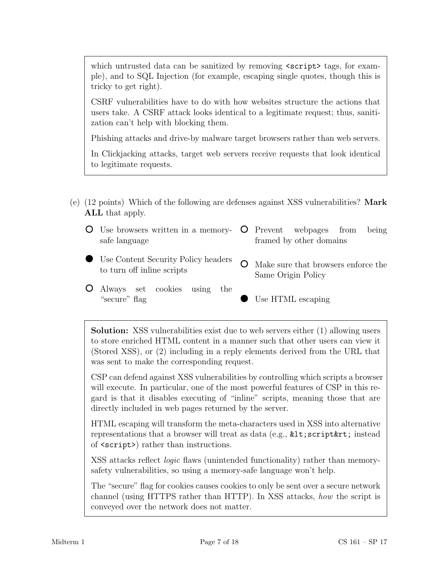which untrusted data can be sanitized by removing  $\langle$ script $\rangle$  tags, for example), and to SQL Injection (for example, escaping single quotes, though this is tricky to get right).

CSRF vulnerabilities have to do with how websites structure the actions that users take. A CSRF attack looks identical to a legitimate request; thus, sanitization can't help with blocking them.

Phishing attacks and drive-by malware target browsers rather than web servers.

In Clickjacking attacks, target web servers receive requests that look identical to legitimate requests.

- (e) (12 points) Which of the following are defenses against XSS vulnerabilities? Mark ALL that apply.
	- Use browsers written in a memorysafe language Prevent webpages from being framed by other domains
	- Use Content Security Policy headers to turn off inline scripts
- Make sure that browsers enforce the Same Origin Policy
- Always set cookies using the "secure" flag
- Use HTML escaping

Solution: XSS vulnerabilities exist due to web servers either (1) allowing users to store enriched HTML content in a manner such that other users can view it (Stored XSS), or (2) including in a reply elements derived from the URL that was sent to make the corresponding request.

CSP can defend against XSS vulnerabilities by controlling which scripts a browser will execute. In particular, one of the most powerful features of CSP in this regard is that it disables executing of "inline" scripts, meaning those that are directly included in web pages returned by the server.

HTML escaping will transform the meta-characters used in XSS into alternative representations that a browser will treat as data (e.g.,  $klt;$ ; script $krt$ ; instead of <script>) rather than instructions.

XSS attacks reflect logic flaws (unintended functionality) rather than memorysafety vulnerabilities, so using a memory-safe language won't help.

The "secure" flag for cookies causes cookies to only be sent over a secure network channel (using HTTPS rather than HTTP). In XSS attacks, how the script is conveyed over the network does not matter.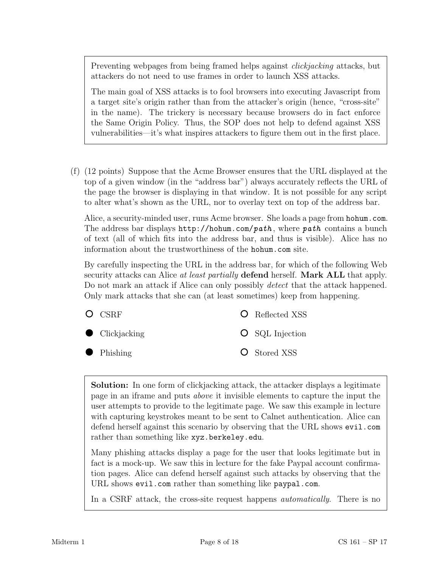Preventing webpages from being framed helps against *clickjacking* attacks, but attackers do not need to use frames in order to launch XSS attacks.

The main goal of XSS attacks is to fool browsers into executing Javascript from a target site's origin rather than from the attacker's origin (hence, "cross-site" in the name). The trickery is necessary because browsers do in fact enforce the Same Origin Policy. Thus, the SOP does not help to defend against XSS vulnerabilities—it's what inspires attackers to figure them out in the first place.

(f) (12 points) Suppose that the Acme Browser ensures that the URL displayed at the top of a given window (in the "address bar") always accurately reflects the URL of the page the browser is displaying in that window. It is not possible for any script to alter what's shown as the URL, nor to overlay text on top of the address bar.

Alice, a security-minded user, runs Acme browser. She loads a page from hohum.com. The address bar displays  $http://hohum.com/path, where path contains a bunch$ of text (all of which fits into the address bar, and thus is visible). Alice has no information about the trustworthiness of the hohum.com site.

By carefully inspecting the URL in the address bar, for which of the following Web security attacks can Alice at least partially defend herself. Mark ALL that apply. Do not mark an attack if Alice can only possibly *detect* that the attack happened. Only mark attacks that she can (at least sometimes) keep from happening.

| $O$ CSRF               | <b>O</b> Reflected XSS   |
|------------------------|--------------------------|
| $\bullet$ Clickjacking | $\bigcirc$ SQL Injection |
| $\bullet$ Phishing     | <b>O</b> Stored XSS      |

Solution: In one form of clickjacking attack, the attacker displays a legitimate page in an iframe and puts above it invisible elements to capture the input the user attempts to provide to the legitimate page. We saw this example in lecture with capturing keystrokes meant to be sent to Calnet authentication. Alice can defend herself against this scenario by observing that the URL shows evil.com rather than something like xyz.berkeley.edu.

Many phishing attacks display a page for the user that looks legitimate but in fact is a mock-up. We saw this in lecture for the fake Paypal account confirmation pages. Alice can defend herself against such attacks by observing that the URL shows evil.com rather than something like paypal.com.

In a CSRF attack, the cross-site request happens *automatically*. There is no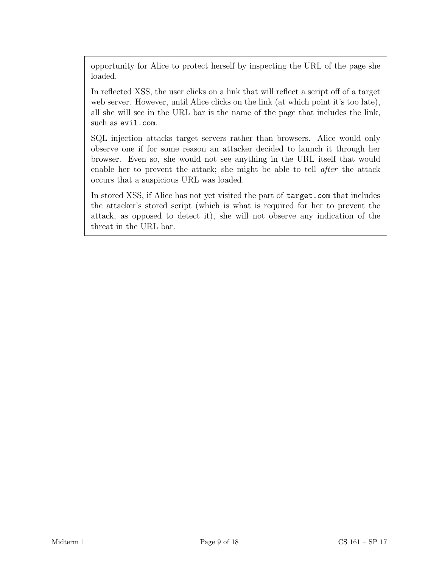opportunity for Alice to protect herself by inspecting the URL of the page she loaded.

In reflected XSS, the user clicks on a link that will reflect a script off of a target web server. However, until Alice clicks on the link (at which point it's too late), all she will see in the URL bar is the name of the page that includes the link, such as evil.com.

SQL injection attacks target servers rather than browsers. Alice would only observe one if for some reason an attacker decided to launch it through her browser. Even so, she would not see anything in the URL itself that would enable her to prevent the attack; she might be able to tell after the attack occurs that a suspicious URL was loaded.

In stored XSS, if Alice has not yet visited the part of target.com that includes the attacker's stored script (which is what is required for her to prevent the attack, as opposed to detect it), she will not observe any indication of the threat in the URL bar.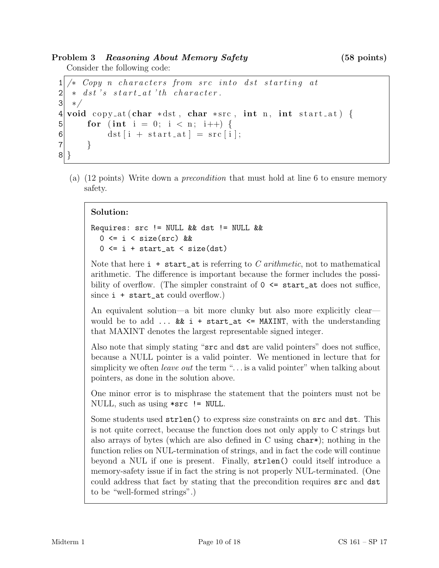Problem 3 Reasoning About Memory Safety (58 points)

Consider the following code:

```
1 \times Copy n characters from src into dst starting at
2 \times ds t 's start_at 'the character.
3 \times 14 void copy_at ( char *dst, char *src, int n, int start_at) {
5 for (int i = 0; i < n; i++) {
6 dst [i + start_at] = src [i];
7 }
\vert
```
(a) (12 points) Write down a precondition that must hold at line 6 to ensure memory safety.

### Solution:

```
Requires: src != NULL && dst != NULL &&
  0 \leq i \leq size(src) & &
  0 \leq i + start_{at} \leq size (dst)
```
Note that here  $i + start_{at}$  is referring to C arithmetic, not to mathematical arithmetic. The difference is important because the former includes the possibility of overflow. (The simpler constraint of  $0 \leq$  start\_at does not suffice, since  $i + start_at$  could overflow.)

An equivalent solution—a bit more clunky but also more explicitly clear would be to add  $\ldots$  && i + start\_at <= MAXINT, with the understanding that MAXINT denotes the largest representable signed integer.

Also note that simply stating "src and dst are valid pointers" does not suffice, because a NULL pointer is a valid pointer. We mentioned in lecture that for simplicity we often *leave out* the term " $\ldots$  is a valid pointer" when talking about pointers, as done in the solution above.

One minor error is to misphrase the statement that the pointers must not be NULL, such as using \*src != NULL.

Some students used strlen() to express size constraints on src and dst. This is not quite correct, because the function does not only apply to C strings but also arrays of bytes (which are also defined in C using char\*); nothing in the function relies on NUL-termination of strings, and in fact the code will continue beyond a NUL if one is present. Finally, strlen() could itself introduce a memory-safety issue if in fact the string is not properly NUL-terminated. (One could address that fact by stating that the precondition requires src and dst to be "well-formed strings".)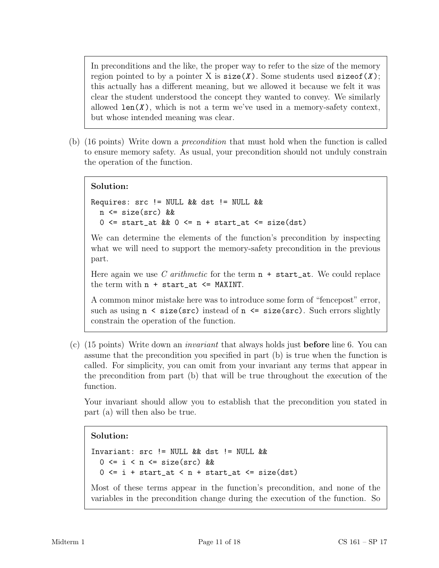In preconditions and the like, the proper way to refer to the size of the memory region pointed to by a pointer X is  $size(X)$ . Some students used  $sizeof(X)$ ; this actually has a different meaning, but we allowed it because we felt it was clear the student understood the concept they wanted to convey. We similarly allowed  $len(X)$ , which is not a term we've used in a memory-safety context, but whose intended meaning was clear.

(b) (16 points) Write down a precondition that must hold when the function is called to ensure memory safety. As usual, your precondition should not unduly constrain the operation of the function.

### Solution:

```
Requires: src != NULL && dst != NULL &&
  n <= size(src) &&
  0 \leq start_at && 0 \leq n + start_at \leq size (dst)
```
We can determine the elements of the function's precondition by inspecting what we will need to support the memory-safety precondition in the previous part.

Here again we use C arithmetic for the term  $n + start_{at}$ . We could replace the term with  $n + start_at \leq MAXINT$ .

A common minor mistake here was to introduce some form of "fencepost" error, such as using  $n \leq size(\text{src})$  instead of  $n \leq size(\text{src})$ . Such errors slightly constrain the operation of the function.

(c) (15 points) Write down an *invariant* that always holds just **before** line 6. You can assume that the precondition you specified in part (b) is true when the function is called. For simplicity, you can omit from your invariant any terms that appear in the precondition from part (b) that will be true throughout the execution of the function.

Your invariant should allow you to establish that the precondition you stated in part (a) will then also be true.

#### Solution:

```
Invariant: src != NULL && dst != NULL &&
  0 \leq i \leq n \leq size(src) &&
  0 \leq i + start_{at} \leq n + start_{at} \leq size(dst)
```
Most of these terms appear in the function's precondition, and none of the variables in the precondition change during the execution of the function. So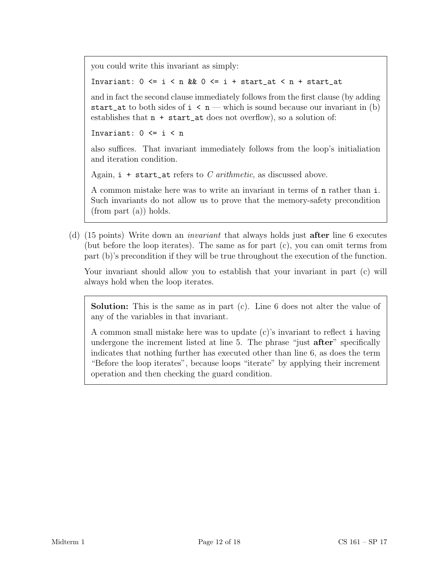you could write this invariant as simply:

Invariant:  $0 \le i \le n$  &&  $0 \le i +$  start\_at  $\le n$  + start\_at

and in fact the second clause immediately follows from the first clause (by adding start\_at to both sides of  $i \leq n$  — which is sound because our invariant in (b) establishes that n + start\_at does not overflow), so a solution of:

Invariant:  $0 \leq i \leq n$ 

also suffices. That invariant immediately follows from the loop's initialiation and iteration condition.

Again,  $i + start_at$  refers to C arithmetic, as discussed above.

A common mistake here was to write an invariant in terms of n rather than i. Such invariants do not allow us to prove that the memory-safety precondition (from part (a)) holds.

(d) (15 points) Write down an invariant that always holds just after line 6 executes (but before the loop iterates). The same as for part  $(c)$ , you can omit terms from part (b)'s precondition if they will be true throughout the execution of the function.

Your invariant should allow you to establish that your invariant in part (c) will always hold when the loop iterates.

Solution: This is the same as in part (c). Line 6 does not alter the value of any of the variables in that invariant.

A common small mistake here was to update (c)'s invariant to reflect i having undergone the increment listed at line 5. The phrase "just **after**" specifically indicates that nothing further has executed other than line 6, as does the term "Before the loop iterates", because loops "iterate" by applying their increment operation and then checking the guard condition.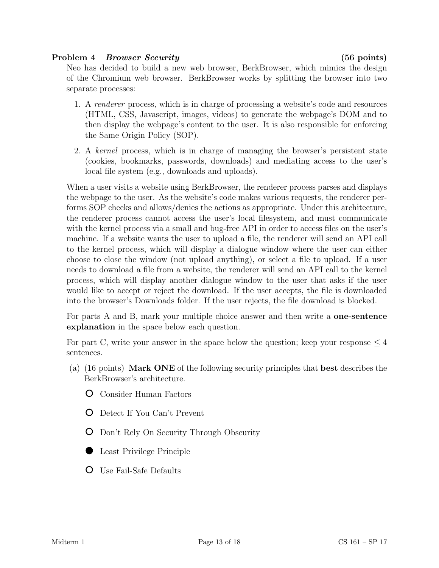### Problem 4 Browser Security (56 points)

Neo has decided to build a new web browser, BerkBrowser, which mimics the design of the Chromium web browser. BerkBrowser works by splitting the browser into two separate processes:

- 1. A *renderer* process, which is in charge of processing a website's code and resources (HTML, CSS, Javascript, images, videos) to generate the webpage's DOM and to then display the webpage's content to the user. It is also responsible for enforcing the Same Origin Policy (SOP).
- 2. A kernel process, which is in charge of managing the browser's persistent state (cookies, bookmarks, passwords, downloads) and mediating access to the user's local file system (e.g., downloads and uploads).

When a user visits a website using BerkBrowser, the renderer process parses and displays the webpage to the user. As the website's code makes various requests, the renderer performs SOP checks and allows/denies the actions as appropriate. Under this architecture, the renderer process cannot access the user's local filesystem, and must communicate with the kernel process via a small and bug-free API in order to access files on the user's machine. If a website wants the user to upload a file, the renderer will send an API call to the kernel process, which will display a dialogue window where the user can either choose to close the window (not upload anything), or select a file to upload. If a user needs to download a file from a website, the renderer will send an API call to the kernel process, which will display another dialogue window to the user that asks if the user would like to accept or reject the download. If the user accepts, the file is downloaded into the browser's Downloads folder. If the user rejects, the file download is blocked.

For parts A and B, mark your multiple choice answer and then write a one-sentence explanation in the space below each question.

For part C, write your answer in the space below the question; keep your response  $\leq 4$ sentences.

- (a) (16 points) Mark ONE of the following security principles that best describes the BerkBrowser's architecture.
	- Consider Human Factors
	- Detect If You Can't Prevent
	- Don't Rely On Security Through Obscurity
	- Least Privilege Principle
	- Use Fail-Safe Defaults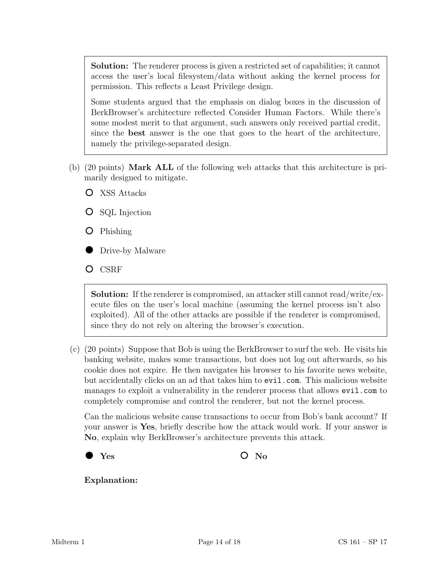Solution: The renderer process is given a restricted set of capabilities; it cannot access the user's local filesystem/data without asking the kernel process for permission. This reflects a Least Privilege design.

Some students argued that the emphasis on dialog boxes in the discussion of BerkBrowser's architecture reflected Consider Human Factors. While there's some modest merit to that argument, such answers only received partial credit, since the best answer is the one that goes to the heart of the architecture, namely the privilege-separated design.

- (b) (20 points) Mark ALL of the following web attacks that this architecture is primarily designed to mitigate.
	- XSS Attacks
	- **O** SQL Injection
	- Phishing
	- Drive-by Malware
	- O CSRF

Solution: If the renderer is compromised, an attacker still cannot read/write/execute files on the user's local machine (assuming the kernel process isn't also exploited). All of the other attacks are possible if the renderer is compromised, since they do not rely on altering the browser's execution.

(c) (20 points) Suppose that Bob is using the BerkBrowser to surf the web. He visits his banking website, makes some transactions, but does not log out afterwards, so his cookie does not expire. He then navigates his browser to his favorite news website, but accidentally clicks on an ad that takes him to evil.com. This malicious website manages to exploit a vulnerability in the renderer process that allows evil.com to completely compromise and control the renderer, but not the kernel process.

Can the malicious website cause transactions to occur from Bob's bank account? If your answer is Yes, briefly describe how the attack would work. If your answer is No, explain why BerkBrowser's architecture prevents this attack.



Explanation: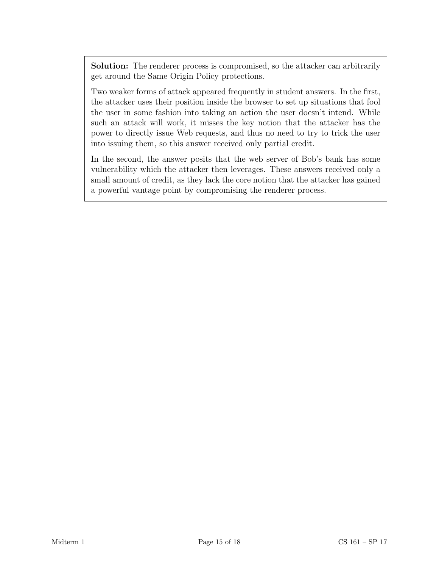Solution: The renderer process is compromised, so the attacker can arbitrarily get around the Same Origin Policy protections.

Two weaker forms of attack appeared frequently in student answers. In the first, the attacker uses their position inside the browser to set up situations that fool the user in some fashion into taking an action the user doesn't intend. While such an attack will work, it misses the key notion that the attacker has the power to directly issue Web requests, and thus no need to try to trick the user into issuing them, so this answer received only partial credit.

In the second, the answer posits that the web server of Bob's bank has some vulnerability which the attacker then leverages. These answers received only a small amount of credit, as they lack the core notion that the attacker has gained a powerful vantage point by compromising the renderer process.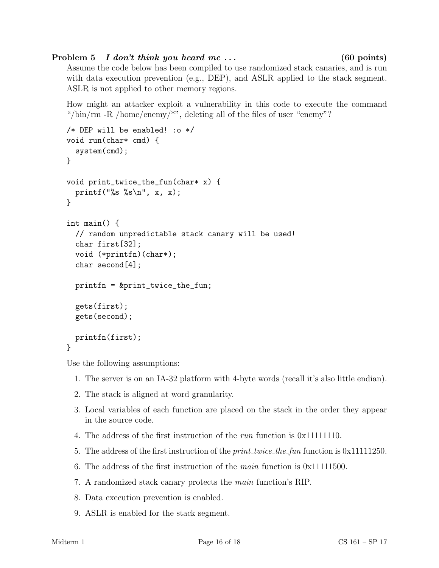# Problem 5 I don't think you heard me ... (60 points)

Assume the code below has been compiled to use randomized stack canaries, and is run with data execution prevention (e.g., DEP), and ASLR applied to the stack segment. ASLR is not applied to other memory regions.

How might an attacker exploit a vulnerability in this code to execute the command "/bin/rm -R /home/enemy/ $\ast$ ", deleting all of the files of user "enemy"?

```
/* DEP will be enabled! :o */
void run(char* cmd) {
  system(cmd);
}
void print_twice_the_fun(char* x) {
  printf("%s %s\n", x, x);
}
int main() {
  // random unpredictable stack canary will be used!
  char first[32];
  void (*printfn)(char*);
  char second[4];
  printfn = &print_twice_the_fun;
  gets(first);
  gets(second);
  printfn(first);
}
```
Use the following assumptions:

- 1. The server is on an IA-32 platform with 4-byte words (recall it's also little endian).
- 2. The stack is aligned at word granularity.
- 3. Local variables of each function are placed on the stack in the order they appear in the source code.
- 4. The address of the first instruction of the run function is 0x11111110.
- 5. The address of the first instruction of the *print\_twice\_the\_fun* function is 0x11111250.
- 6. The address of the first instruction of the *main* function is  $0x11111500$ .
- 7. A randomized stack canary protects the main function's RIP.
- 8. Data execution prevention is enabled.
- 9. ASLR is enabled for the stack segment.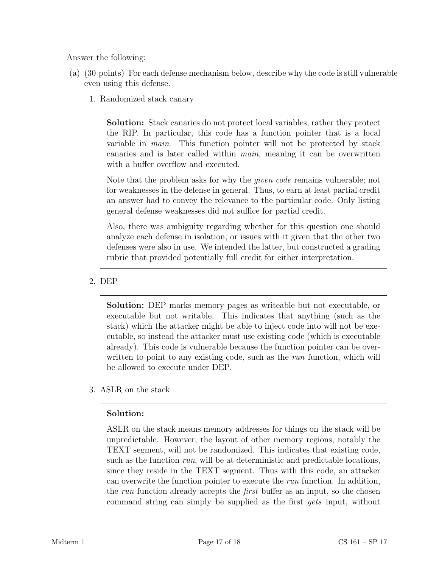Answer the following:

- (a) (30 points) For each defense mechanism below, describe why the code is still vulnerable even using this defense.
	- 1. Randomized stack canary

Solution: Stack canaries do not protect local variables, rather they protect the RIP. In particular, this code has a function pointer that is a local variable in main. This function pointer will not be protected by stack canaries and is later called within main, meaning it can be overwritten with a buffer overflow and executed.

Note that the problem asks for why the given code remains vulnerable; not for weaknesses in the defense in general. Thus, to earn at least partial credit an answer had to convey the relevance to the particular code. Only listing general defense weaknesses did not suffice for partial credit.

Also, there was ambiguity regarding whether for this question one should analyze each defense in isolation, or issues with it given that the other two defenses were also in use. We intended the latter, but constructed a grading rubric that provided potentially full credit for either interpretation.

2. DEP

Solution: DEP marks memory pages as writeable but not executable, or executable but not writable. This indicates that anything (such as the stack) which the attacker might be able to inject code into will not be executable, so instead the attacker must use existing code (which is executable already). This code is vulnerable because the function pointer can be overwritten to point to any existing code, such as the *run* function, which will be allowed to execute under DEP.

3. ASLR on the stack

## Solution:

ASLR on the stack means memory addresses for things on the stack will be unpredictable. However, the layout of other memory regions, notably the TEXT segment, will not be randomized. This indicates that existing code, such as the function run, will be at deterministic and predictable locations, since they reside in the TEXT segment. Thus with this code, an attacker can overwrite the function pointer to execute the run function. In addition, the run function already accepts the *first* buffer as an input, so the chosen command string can simply be supplied as the first gets input, without